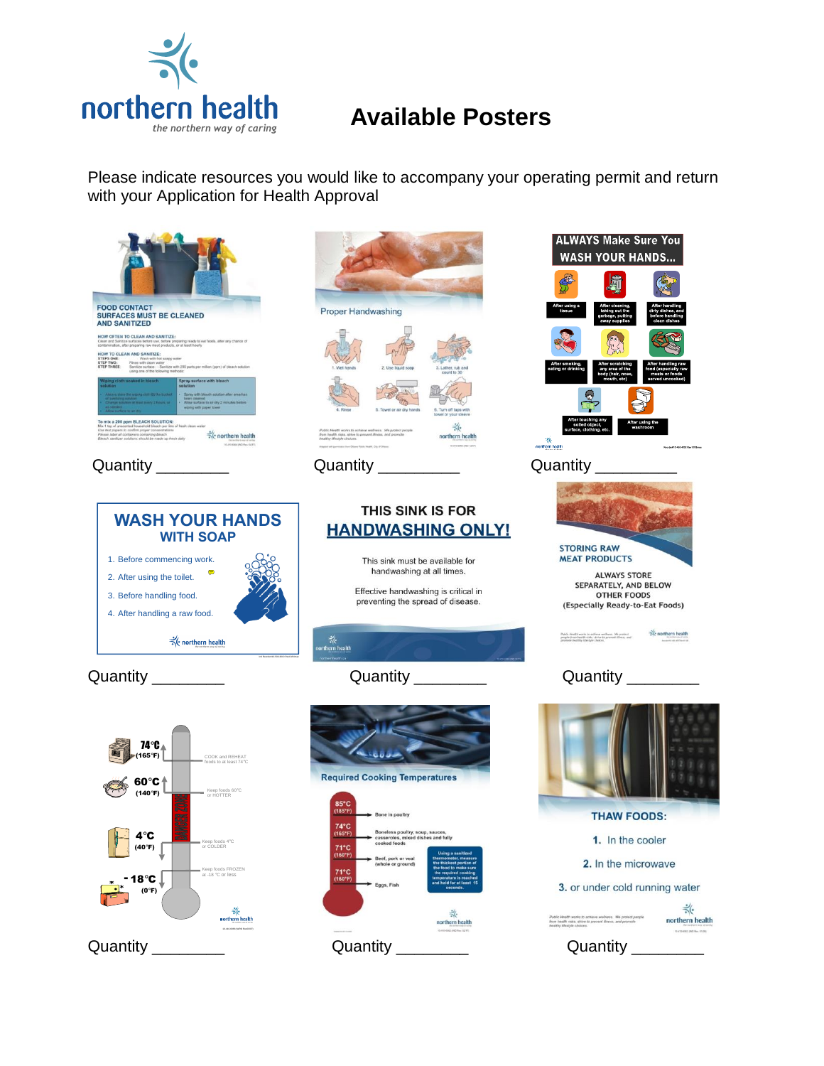

## **Available Posters**

Please indicate resources you would like to accompany your operating permit and return with your Application for Health Approval